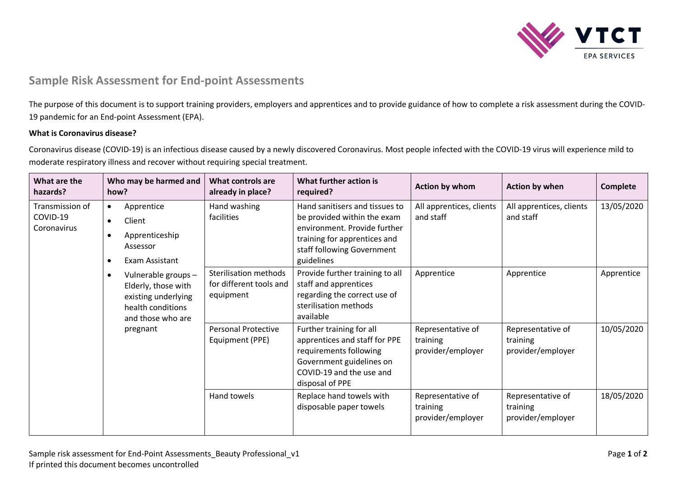

## **Sample Risk Assessment for End-point Assessments**

The purpose of this document is to support training providers, employers and apprentices and to provide guidance of how to complete a risk assessment during the COVID-19 pandemic for an End-point Assessment (EPA).

## **What is Coronavirus disease?**

Coronavirus disease (COVID-19) is an infectious disease caused by a newly discovered Coronavirus. Most people infected with the COVID-19 virus will experience mild to moderate respiratory illness and recover without requiring special treatment.

| What are the<br>hazards?                   | Who may be harmed and<br>how?                                                                                            | What controls are<br>already in place?                               | What further action is<br>required?                                                                                                                                       | Action by whom                                     | Action by when                                     | Complete   |
|--------------------------------------------|--------------------------------------------------------------------------------------------------------------------------|----------------------------------------------------------------------|---------------------------------------------------------------------------------------------------------------------------------------------------------------------------|----------------------------------------------------|----------------------------------------------------|------------|
| Transmission of<br>COVID-19<br>Coronavirus | Apprentice<br>$\bullet$<br>Client<br>$\bullet$<br>Apprenticeship<br>$\bullet$<br>Assessor<br>Exam Assistant<br>$\bullet$ | Hand washing<br>facilities                                           | Hand sanitisers and tissues to<br>be provided within the exam<br>environment. Provide further<br>training for apprentices and<br>staff following Government<br>guidelines | All apprentices, clients<br>and staff              | All apprentices, clients<br>and staff              | 13/05/2020 |
|                                            | Vulnerable groups-<br>$\bullet$<br>Elderly, those with<br>existing underlying<br>health conditions<br>and those who are  | <b>Sterilisation methods</b><br>for different tools and<br>equipment | Provide further training to all<br>staff and apprentices<br>regarding the correct use of<br>sterilisation methods<br>available                                            | Apprentice                                         | Apprentice                                         | Apprentice |
|                                            | pregnant                                                                                                                 | <b>Personal Protective</b><br>Equipment (PPE)                        | Further training for all<br>apprentices and staff for PPE<br>requirements following<br>Government guidelines on<br>COVID-19 and the use and<br>disposal of PPE            | Representative of<br>training<br>provider/employer | Representative of<br>training<br>provider/employer | 10/05/2020 |
|                                            |                                                                                                                          | Hand towels                                                          | Replace hand towels with<br>disposable paper towels                                                                                                                       | Representative of<br>training<br>provider/employer | Representative of<br>training<br>provider/employer | 18/05/2020 |